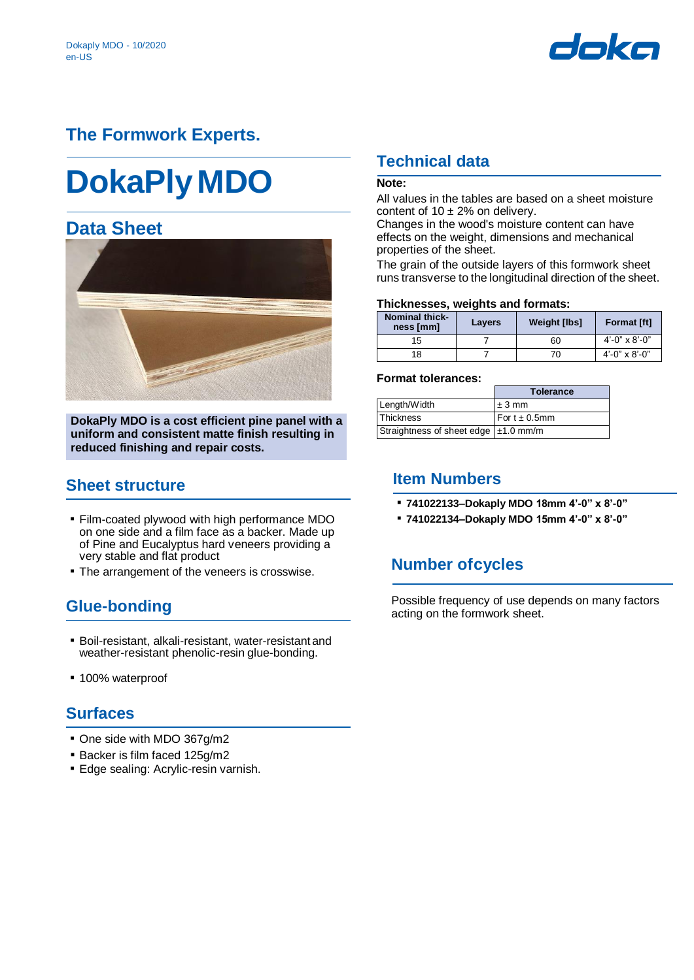

## **The Formwork Experts.**

# **DokaPlyMDO**

## **Data Sheet**



**DokaPly MDO is a cost efficient pine panel with a uniform and consistent matte finish resulting in reduced finishing and repair costs.** 

## **Sheet structure**

- Film-coated plywood with high performance MDO on one side and a film face as a backer. Made up of Pine and Eucalyptus hard veneers providing a very stable and flat product
- **The arrangement of the veneers is crosswise.**

## **Glue-bonding**

- Boil-resistant, alkali-resistant, water-resistant and weather-resistant phenolic-resin glue-bonding.
- 100% waterproof

## **Surfaces**

- One side with MDO 367g/m2
- Backer is film faced 125g/m2
- **Edge sealing: Acrylic-resin varnish.**

## **Technical data**

### **Note:**

All values in the tables are based on a sheet moisture content of  $10 \pm 2\%$  on delivery.

Changes in the wood's moisture content can have effects on the weight, dimensions and mechanical properties of the sheet.

The grain of the outside layers of this formwork sheet runs transverse to the longitudinal direction of the sheet.

#### **Thicknesses, weights and formats:**

| <b>Nominal thick-</b><br>ness [mm] | Layers | <b>Weight [lbs]</b> | <b>Format [ft]</b>         |
|------------------------------------|--------|---------------------|----------------------------|
| 15                                 |        | 60                  | $4' - 0'' \times 8' - 0''$ |
| 18                                 |        | 70                  | $4'$ -0" x 8'-0"           |

#### **Format tolerances:**

|                                        | <b>Tolerance</b>   |
|----------------------------------------|--------------------|
| Length/Width                           | $±3$ mm            |
| <b>Thickness</b>                       | For $t \pm 0.5$ mm |
| Straightness of sheet edge   ±1.0 mm/m |                    |

## **Item Numbers**

- **741022133–Dokaply MDO 18mm 4'-0" x 8'-0"**
- **741022134–Dokaply MDO 15mm 4'-0" x 8'-0"**

## **Number ofcycles**

Possible frequency of use depends on many factors acting on the formwork sheet.